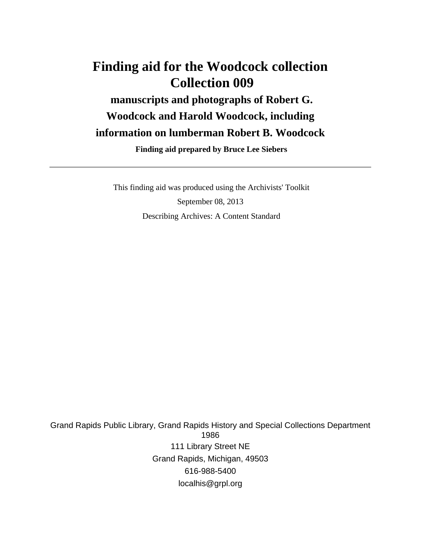# **Finding aid for the Woodcock collection Collection 009 manuscripts and photographs of Robert G. Woodcock and Harold Woodcock, including information on lumberman Robert B. Woodcock**

 **Finding aid prepared by Bruce Lee Siebers**

 This finding aid was produced using the Archivists' Toolkit September 08, 2013 Describing Archives: A Content Standard

Grand Rapids Public Library, Grand Rapids History and Special Collections Department 1986 111 Library Street NE Grand Rapids, Michigan, 49503 616-988-5400 localhis@grpl.org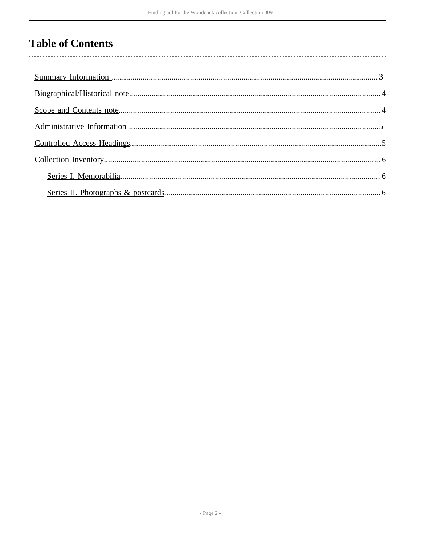# **Table of Contents**

l,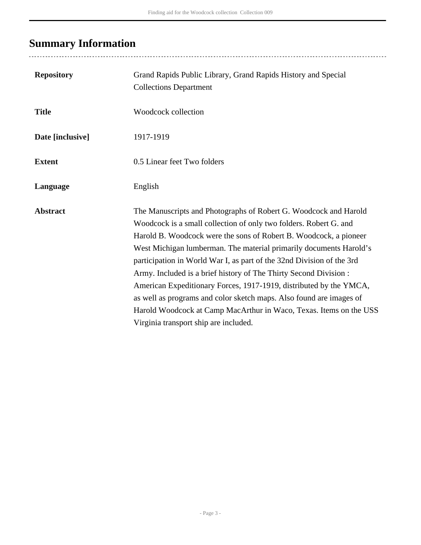# <span id="page-2-0"></span>**Summary Information**

| <b>Repository</b> | Grand Rapids Public Library, Grand Rapids History and Special<br><b>Collections Department</b>                                                                                                                                                                                                                                                                                                                                                                                                                                                                                                                                                                                             |
|-------------------|--------------------------------------------------------------------------------------------------------------------------------------------------------------------------------------------------------------------------------------------------------------------------------------------------------------------------------------------------------------------------------------------------------------------------------------------------------------------------------------------------------------------------------------------------------------------------------------------------------------------------------------------------------------------------------------------|
| <b>Title</b>      | Woodcock collection                                                                                                                                                                                                                                                                                                                                                                                                                                                                                                                                                                                                                                                                        |
| Date [inclusive]  | 1917-1919                                                                                                                                                                                                                                                                                                                                                                                                                                                                                                                                                                                                                                                                                  |
| <b>Extent</b>     | 0.5 Linear feet Two folders                                                                                                                                                                                                                                                                                                                                                                                                                                                                                                                                                                                                                                                                |
| Language          | English                                                                                                                                                                                                                                                                                                                                                                                                                                                                                                                                                                                                                                                                                    |
| <b>Abstract</b>   | The Manuscripts and Photographs of Robert G. Woodcock and Harold<br>Woodcock is a small collection of only two folders. Robert G. and<br>Harold B. Woodcock were the sons of Robert B. Woodcock, a pioneer<br>West Michigan lumberman. The material primarily documents Harold's<br>participation in World War I, as part of the 32nd Division of the 3rd<br>Army. Included is a brief history of The Thirty Second Division :<br>American Expeditionary Forces, 1917-1919, distributed by the YMCA,<br>as well as programs and color sketch maps. Also found are images of<br>Harold Woodcock at Camp MacArthur in Waco, Texas. Items on the USS<br>Virginia transport ship are included. |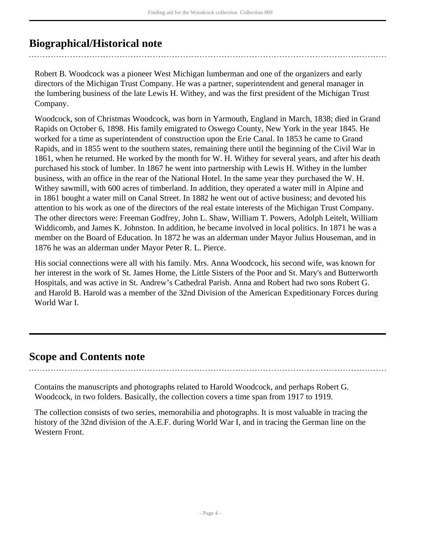## <span id="page-3-0"></span>**Biographical/Historical note**

Robert B. Woodcock was a pioneer West Michigan lumberman and one of the organizers and early directors of the Michigan Trust Company. He was a partner, superintendent and general manager in the lumbering business of the late Lewis H. Withey, and was the first president of the Michigan Trust Company.

Woodcock, son of Christmas Woodcock, was born in Yarmouth, England in March, 1838; died in Grand Rapids on October 6, 1898. His family emigrated to Oswego County, New York in the year 1845. He worked for a time as superintendent of construction upon the Erie Canal. In 1853 he came to Grand Rapids, and in 1855 went to the southern states, remaining there until the beginning of the Civil War in 1861, when he returned. He worked by the month for W. H. Withey for several years, and after his death purchased his stock of lumber. In 1867 he went into partnership with Lewis H. Withey in the lumber business, with an office in the rear of the National Hotel. In the same year they purchased the W. H. Withey sawmill, with 600 acres of timberland. In addition, they operated a water mill in Alpine and in 1861 bought a water mill on Canal Street. In 1882 he went out of active business; and devoted his attention to his work as one of the directors of the real estate interests of the Michigan Trust Company. The other directors were: Freeman Godfrey, John L. Shaw, William T. Powers, Adolph Leitelt, William Widdicomb, and James K. Johnston. In addition, he became involved in local politics. In 1871 he was a member on the Board of Education. In 1872 he was an alderman under Mayor Julius Houseman, and in 1876 he was an alderman under Mayor Peter R. L. Pierce.

His social connections were all with his family. Mrs. Anna Woodcock, his second wife, was known for her interest in the work of St. James Home, the Little Sisters of the Poor and St. Mary's and Butterworth Hospitals, and was active in St. Andrew's Cathedral Parish. Anna and Robert had two sons Robert G. and Harold B. Harold was a member of the 32nd Division of the American Expeditionary Forces during World War I.

### <span id="page-3-1"></span>**Scope and Contents note**

Contains the manuscripts and photographs related to Harold Woodcock, and perhaps Robert G. Woodcock, in two folders. Basically, the collection covers a time span from 1917 to 1919.

The collection consists of two series, memorabilia and photographs. It is most valuable in tracing the history of the 32nd division of the A.E.F. during World War I, and in tracing the German line on the Western Front.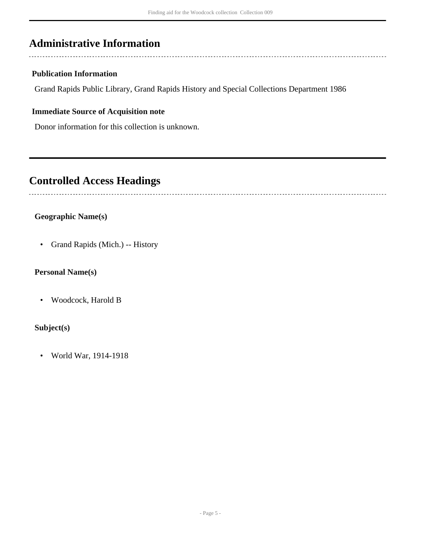## <span id="page-4-0"></span>**Administrative Information**

### **Publication Information**

Grand Rapids Public Library, Grand Rapids History and Special Collections Department 1986

### **Immediate Source of Acquisition note**

Donor information for this collection is unknown.

### <span id="page-4-1"></span>**Controlled Access Headings**

### **Geographic Name(s)**

• Grand Rapids (Mich.) -- History

### **Personal Name(s)**

• Woodcock, Harold B

### **Subject(s)**

• World War, 1914-1918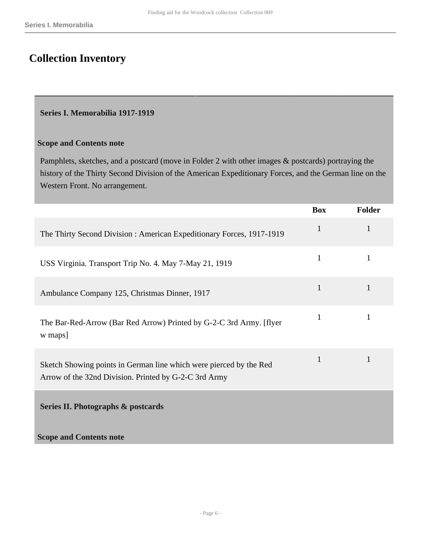## <span id="page-5-0"></span>**Collection Inventory**

#### <span id="page-5-1"></span>**Series I. Memorabilia 1917-1919**

#### **Scope and Contents note**

Pamphlets, sketches, and a postcard (move in Folder 2 with other images & postcards) portraying the history of the Thirty Second Division of the American Expeditionary Forces, and the German line on the Western Front. No arrangement.

<span id="page-5-2"></span>

|                                                                                                                             | <b>Box</b>   | <b>Folder</b> |
|-----------------------------------------------------------------------------------------------------------------------------|--------------|---------------|
| The Thirty Second Division: American Expeditionary Forces, 1917-1919                                                        | $\mathbf{1}$ |               |
| USS Virginia. Transport Trip No. 4. May 7-May 21, 1919                                                                      | $\mathbf{1}$ | 1             |
| Ambulance Company 125, Christmas Dinner, 1917                                                                               | $\mathbf{1}$ | 1             |
| The Bar-Red-Arrow (Bar Red Arrow) Printed by G-2-C 3rd Army. [flyer<br>w maps]                                              | 1            |               |
| Sketch Showing points in German line which were pierced by the Red<br>Arrow of the 32nd Division. Printed by G-2-C 3rd Army | $\mathbf{1}$ | $\mathbf{1}$  |
| Series II. Photographs & postcards                                                                                          |              |               |
| <b>Scope and Contents note</b>                                                                                              |              |               |